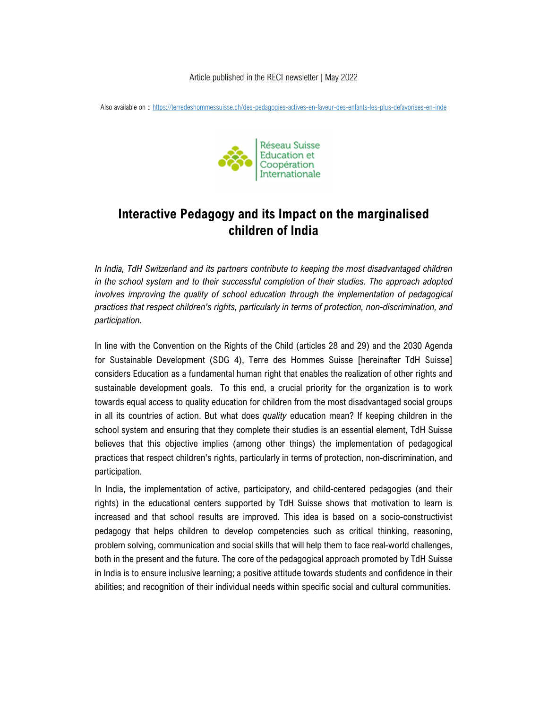Article published in the RECI newsletter | May 2022

Also available on :: https://terredeshommessuisse.ch/des-pedagogies-actives-en-faveur-des-enfants-les-plus-defavorises-en-inde



## Interactive Pedagogy and its Impact on the marginalised children of India

In India, TdH Switzerland and its partners contribute to keeping the most disadvantaged children in the school system and to their successful completion of their studies. The approach adopted involves improving the quality of school education through the implementation of pedagogical practices that respect children's rights, particularly in terms of protection, non-discrimination, and participation.

In line with the Convention on the Rights of the Child (articles 28 and 29) and the 2030 Agenda for Sustainable Development (SDG 4), Terre des Hommes Suisse [hereinafter TdH Suisse] considers Education as a fundamental human right that enables the realization of other rights and sustainable development goals. To this end, a crucial priority for the organization is to work towards equal access to quality education for children from the most disadvantaged social groups in all its countries of action. But what does *quality* education mean? If keeping children in the school system and ensuring that they complete their studies is an essential element, TdH Suisse believes that this objective implies (among other things) the implementation of pedagogical practices that respect children's rights, particularly in terms of protection, non-discrimination, and participation.

In India, the implementation of active, participatory, and child-centered pedagogies (and their rights) in the educational centers supported by TdH Suisse shows that motivation to learn is increased and that school results are improved. This idea is based on a socio-constructivist pedagogy that helps children to develop competencies such as critical thinking, reasoning, problem solving, communication and social skills that will help them to face real-world challenges, both in the present and the future. The core of the pedagogical approach promoted by TdH Suisse in India is to ensure inclusive learning; a positive attitude towards students and confidence in their abilities; and recognition of their individual needs within specific social and cultural communities.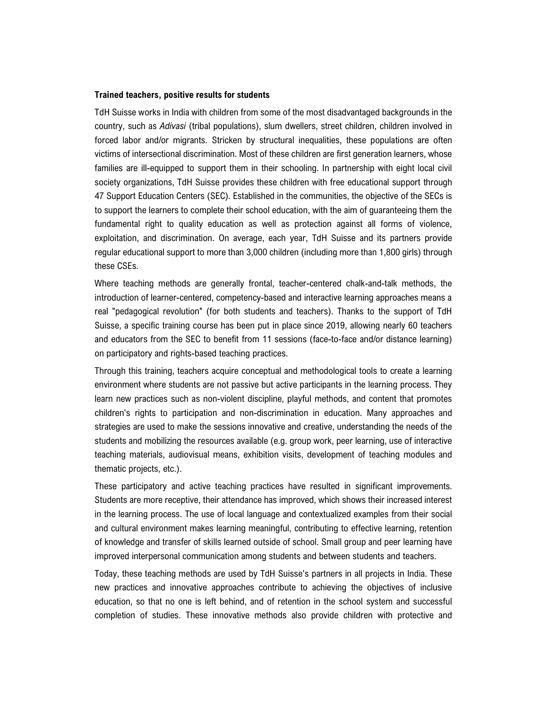## Trained teachers, positive results for students

TdH Suisse works in India with children from some of the most disadvantaged backgrounds in the country, such as Adivasi (tribal populations), slum dwellers, street children, children involved in forced labor and/or migrants. Stricken by structural inequalities, these populations are often victims of intersectional discrimination. Most of these children are first generation learners, whose families are ill-equipped to support them in their schooling. In partnership with eight local civil society organizations, TdH Suisse provides these children with free educational support through 47 Support Education Centers (SEC). Established in the communities, the objective of the SECs is to support the learners to complete their school education, with the aim of guaranteeing them the fundamental right to quality education as well as protection against all forms of violence, exploitation, and discrimination. On average, each year, TdH Suisse and its partners provide regular educational support to more than 3,000 children (including more than 1,800 girls) through these CSEs.

Where teaching methods are generally frontal, teacher-centered chalk-and-talk methods, the introduction of learner-centered, competency-based and interactive learning approaches means a real "pedagogical revolution" (for both students and teachers). Thanks to the support of TdH Suisse, a specific training course has been put in place since 2019, allowing nearly 60 teachers and educators from the SEC to benefit from 11 sessions (face-to-face and/or distance learning) on participatory and rights-based teaching practices.

Through this training, teachers acquire conceptual and methodological tools to create a learning environment where students are not passive but active participants in the learning process. They learn new practices such as non-violent discipline, playful methods, and content that promotes children's rights to participation and non-discrimination in education. Many approaches and strategies are used to make the sessions innovative and creative, understanding the needs of the students and mobilizing the resources available (e.g. group work, peer learning, use of interactive teaching materials, audiovisual means, exhibition visits, development of teaching modules and thematic projects, etc.).

These participatory and active teaching practices have resulted in significant improvements. Students are more receptive, their attendance has improved, which shows their increased interest in the learning process. The use of local language and contextualized examples from their social and cultural environment makes learning meaningful, contributing to effective learning, retention of knowledge and transfer of skills learned outside of school. Small group and peer learning have improved interpersonal communication among students and between students and teachers.

Today, these teaching methods are used by TdH Suisse's partners in all projects in India. These new practices and innovative approaches contribute to achieving the objectives of inclusive education, so that no one is left behind, and of retention in the school system and successful completion of studies. These innovative methods also provide children with protective and